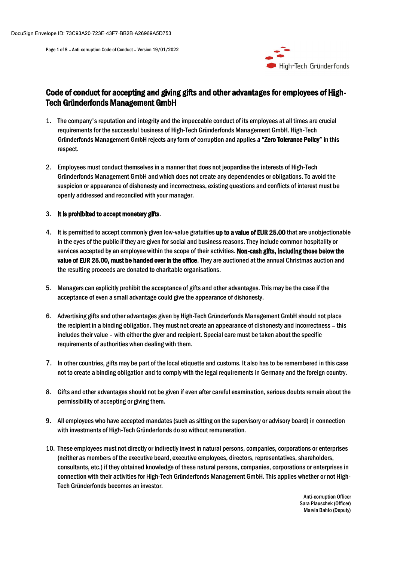

# Page 1 of 8 - Anti-corruption Code of Conduct - Version 19/01/2022<br>Page 1 of 8 - Anti-corruption Code of Conduct - Version 19/01/2022<br>Code of conduct for accenting and giving gifts and other advantages for e Code of conduct for accepting and giving gifts and other advantages for employees of High-Tech Gründerfonds Management GmbH

- Nope ID: 73C93A20-723E-43F7-BB2B-A26969A5D753<br>
Page 1 of 8 Anti-compation Code of Conduct for accepting and giving gifts and other advantages for employees of High-<br>
Tech Gründerfonds Management GmbH<br>
1. The company's re requirements for the successful business of High-Tech Gründerfonds Management GmbH. High-Tech Gründerfonds Management GmbH rejects any form of corruption and applies a "Zero Tolerance Policy" in this respect.
- Nope ID: 73C93A20-723E-43F7-BB2B-A26968A5D753<br>
Page 1 of 8 Anti-comption Code of Conduct Version 19/01/2022<br> **2. Code of conduct for accepting and giving gifts and other advantages for employees of High-Tech<br>
Tech Grün** Gründerfonds Management GmbH and which does not create any dependencies or obligations. To avoid the suspicion or appearance of dishonesty and incorrectness, existing questions and conflicts of interest must be ID: 73C93A20-723E-43F7-BB2B-A26969A5D753<br>
or 8 - Anti-comption Code of Conduct - Version 19/01/2022<br> **Conduct for accepting and giving gifts and other advantages for employees of<br>
Gründerfonds Management GmbH<br>
The company'**

- **Code of conduct for accepting and giving gifts and other advantages for employees of High-Tech Gründerfonds<br>
Code of conduct for accepting and giving gifts and other advantages for employees of High-<br>
1. The company's rep** in the eyes of the public if they are given for social and business reasons. They include common hospitality or services accepted by an employee within the scope of their activities. Non-cash gifts, including those below the value of EUR 25.00, must be handed over in the office. They are auctioned at the annual Christmas auction and the resulting proceeds are donated to charitable organisations. 1. The company's reputation and integrity and the impeccable conduct of its employees at all times are crucial<br>requirements for the successful business of High-Tech Gründerfonds Management GmbH. High-Tech<br>diraderfonds Mana respect.<br>
2. Employees must conduct themselves in a manner that does not jeopardise the interests of High-Tech<br>
Gründerfonds Management CmbH and which does not create any dependencies or obligations. To avoid the<br>
suspicio Employees must conduct themselves in a manner that does not jeopardise the interests of High-Tech<br>Crimderfonds Management GmbH and which does not create any dependencies or obligations. To avoid the<br>Grinderfonds Management 8. It is permitted to accept commonly given low-value gratuites up to a value of EUR 25.00 that are unobjectionable<br>in the eyes of the public if they are given for social and business reasons. They include common hospitali
- acceptance of even a small advantage could give the appearance of dishonesty.
- the recipient in a binding obligation. They must not create an appearance of dishonesty and incorrectness this requirements of authorities when dealing with them. services accepted by an employee within the scope of their activities. Non-cash **gffs, including those below the**<br>where d'EM2 25.00, must be handed over in the office. They are auctioned at the annual Christmas auction and
- 7. In other countries, gifts may be part of the local etiquette and customs. It also has to be remembered in this case not to create a binding obligation and to comply with the legal requirements in Germany and the foreign country.
- permissibility of accepting or giving them.
- with investments of High-Tech Gründerfonds do so without remuneration.
- 5. Managers can explicitly prohibit the acceptance of gifts and other advantages. This may be the case if the<br>acceptance of even a small advantage oould give the appearance of dishonesty.<br>6. Advertising gifts and other adv (neither as members of the executive board, executive employees, directors, representatives, shareholders, acceptance of even a small advantage could give the appearance of dishonesty.<br>
Advertising gifts and other advantages given by High-Tech Gründerfonds Management GmbH should not place<br>
the recipine in a binding obligation. connection with their activities for High-Tech Gründerfonds Management GmbH. This applies whether or not High- Tech Gründerfonds becomes an investor.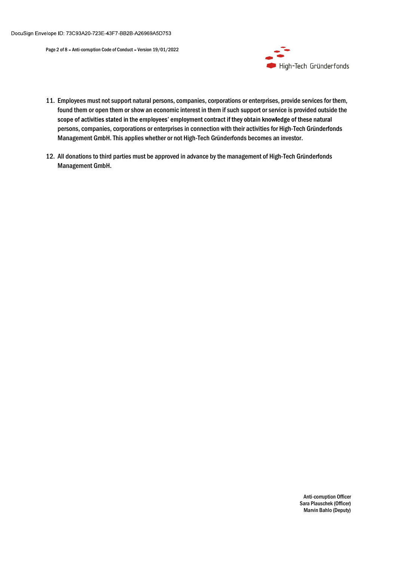

- Frage 2 of 8 Anti-comption Code of Conduct Version 19/01/2022<br>
Page 2 of 8 Anti-comption Code of Conduct Version 19/01/2022<br>
11. Employees must not support natural persons, companies, corporations or enterprises, p found them or open them or show an economic interest in them if such support or service is provided outside the persons, companies, corporations or enterprises in connection with their activities for High-Tech Gründerfonds Management GmbH. This applies whether or not High-Tech Gründerfonds becomes an investor. Nege 1D: 73C93A20-723E-43F7-BB2B-A26969A5D753<br>
Page 2 of 8 - Anti-comption Cede of Conduct - Version 19/01/2022<br>
11. Employees must not support natural persons, companies, corporations or enterprises, provide services for
- Management GmbH.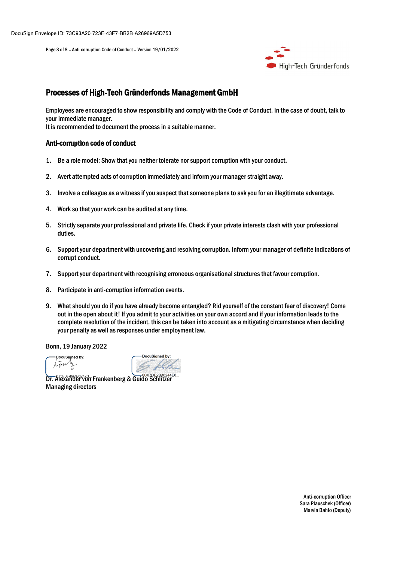

# lope ID: 73C93A20-723E-43F7-BB2B-A26969A5D753<br>Page 3 of 8 - Anti-corruption Code of Conduct - Version 19/01/2022<br>Processes of High-Tech Gründerfonds Management GmbH Processes of High-Tech Gründerfonds Management GmbH

Employees are encouraged to show responsibility and comply with the Code of Conduct. In the case of doubt, talk to your immediate manager. 1. Be a role model: Show that you neither tolerate nor support corruption with your conduct.<br>
1. Be a role model: Show that you responsibility and comply with the Code of Conduct. In the case of doubt, talk<br>
1. Be a role m Alope ID: 73C63A20-723E-43F7-BB2B-A26969A5D753<br>Processes of High-Tech Gründerfonds Management GmbH<br>Employees are encouraged to show responsibility and comply with the Code of Conduct. In the case of doubt, talk to<br>pour imm 3. Involve a colleague as a witness if you suspect that someone plans to ask you frigh-Tech Gründerfonds<br>Throcesses of High-Tech Gründerfonds Management GmbH<br>The someone are also as a witness if you for an illustration of Processes of High-Tech Gründerhonds Management GmbH<br>Processes of High-Tech Gründerfonds Management GmbH<br>Employees are encouraged to show responsibility and comply with the Code of Conduct. I<br>your immediate manager.<br>It is r Frocesses of High-Tech Gründerfonds Management GmbH<br>
Employees are encouraged to show responsibility and comply with the Code of Conduct. In the case of doubt, talk to<br>
Employees are encourage to show responsibility and co **Processes of High-Tech Gründerfonds Management GmbH**<br>Fimployees are encouraged to show responsibility and comply with the Code of Conduct. In the case of doubt, talk to<br>pour inmediate manager.<br>It is recommended to documen Employees are encouraged to show responsibility and comply with the Code of Conduct. In the case of doubt, talk to<br>your immediate manager.<br>The is recommended to document the process in a suitable manner.<br>The is recommended

It is recommended to document the process in a suitable manner.

### Anti-corruption code of conduct

- 
- 
- 
- 
- duties.
- corrupt conduct.
- 
- 
- our immediate manager.<br>
1. It is recommended to document the process in a suitable manner.<br>
1. Be a role model: Show that you neither tolerate nor support corruption with your concent<br>
1. Be a role model: Show that you nei **Anti-corruption code of conduct**<br>
1. Be a role model: Show that you neither tolerate nor support corruption with your conduct.<br>
2. Avert attempted acts of corruption immediately and inform your manager straight away.<br>
3. out in the open about it! If you admit to your activities on your own accord and if your information leads to the complete resolution of the incident, this can be taken into account as a mitigating circumstance when deciding your penalty as well as responses under employment law.

Bonn, 19 January 2022

DocuSigned by:  $ArFw$  $\frac{1}{\sqrt{2}}$ 

-DocuSianed by:

Dr. Alexander von Frankenberg & Guido Schlitzer Managing directors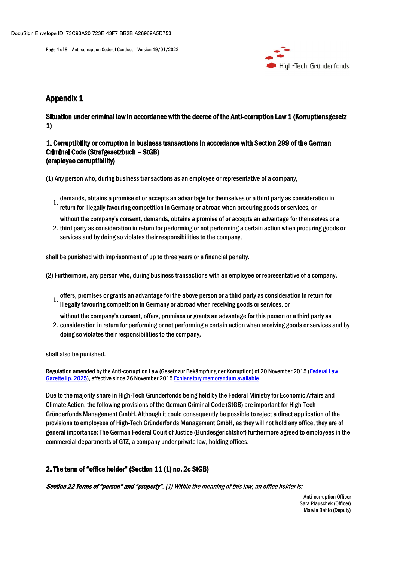

# Appendix 1

## Situation under criminal law in accordance with the decree of the Anti-corruption Law 1 (Korruptionsgesetz 1)

### 1. Corruptibility or corruption in business transactions in accordance with Section 299 of the German Criminal Code (Strafgesetzbuch - StGB) (employee corruptibility)

(1) Any person who, during business transactions as an employee or representative of a company,

- demands, obtains a promise of or accepts an advantage for themselves or a third party as consideration in<br>1. where  $\zeta$ return for illegally favouring competition in Germany or abroad when procuring goods or services, or
- 2. third party as consideration in return for performing or not performing a certain action when procuring goods or services and by doing so violates their responsibilities to the company,

shall be punished with imprisonment of up to three years or a financial penalty.

(2) Furthermore, any person who, during business transactions with an employee or representative of a company,

offers, promises or grants an advantage for the above person or a third party as consideration in return for illegally favouring competition in Germany or abroad when receiving goods or services, or

2. consideration in return for performing or not performing a certain action when receiving goods or services and by doing so violates their responsibilities to the company,

shall also be punished.

Regulation amended by the Anti-corruption Law (Gesetz zur Bekämpfung der Korruption) of 20 November 2015 (Federal Law<br>Gazette I p. 2025), effective since 26 November 2015 Explanatory memorandum available

<sup>2</sup> return for illegally favouring competition in Germany or abroad when procuring goods or services, or<br>
2. third party as consideration in return for performing or ot performing a certain action when procuring goods or<br> Due to the majority share in High-Tech Gründerfonds being held by the Federal Ministry for Economic Affairs and Climate Action, the following provisions of the German Criminal Code (StGB) are important for High-Tech Gründerfonds Management GmbH. Although it could consequently be possible to reject a direct application of the provisions to employees of High-Tech Gründerfonds Management GmbH, as they will not hold any office, they are of (2) Furthermore, any person who, during business transactions with an employee or representative of a company,<br>
2) Furthermore, any person who, during business transactions with an employee or representative of a company,<br> commercial departments of GTZ, a company under private law, holding offices.

Section 22 Terms of "person" and "property". (1) Within the meaning of this law, an office holder is: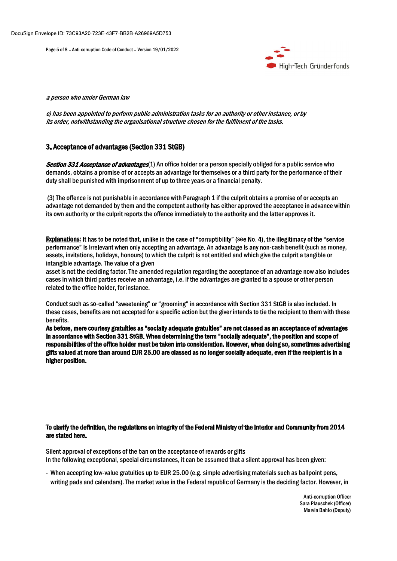

### 3. Acceptance of advantages(Section 331 StGB)

Section 331 Acceptance of advantages(1) An office holder or a person specially obliged for a public service who demands, obtains a promise of or accepts an advantage for themselves or a third party for the performance of their duty shall be punished with imprisonment of up to three years or a financial penalty.

(3) The offence is not punishable in accordance with Paragraph 1 if the culprit obtains a promise of or accepts an bope to: 73.038.220-723E-33F-2B32E-22G869A5D753<br> **Physician And Alternation Code of Conduct - Version 18/01/2022**<br> **a)** as been appointed to perform public administration tasks for an authority or other instance, or by<br>
th its own authority or the culprit reports the offence immediately to the authority and the latter approves it.

Explanations: It has to be noted that, unlike in the case of "corruptibility" (see No. 4), the illegitimacy of the "service performance" is irrelevant when only accepting an advantage. An advantage is any non-cash benefit (such as money, assets, invitations, holidays, honours) to which the culprit is not entitled and which give the culprit a tangible or intangible advantage. The value of a given

asset is not the deciding factor. The amended regulation regarding the acceptance of an advantage now also includes cases in which third parties receive an advantage, i.e. if the advantages are granted to a spouse or other person related to the office holder, for instance.

Conduct such as so-called "sweetening" or "grooming" in accordance with Section 331 StGB is also included. In these cases, benefits are not accepted for a specific action but the giver intends to tie the recipient to them with these benefits.

in accordance with Section 331 StGB. When determining the term "socially adequate", the position and scope of responsibilities of the office holder must be taken into consideration. However, when doing so,sometimes advertising gifts valued at more than around EUR 25.00 are classed as no longer socially adequate, even if the recipient is in a higher position. Conduct such as so-called "sweetening" or "grooming" in accordance with Section 331 StGB is also included. In<br>these cases, benefits are not accepted for a specific action but the give ritheds to tie the recipient to them w ese cases, benefits are not accepted for a specific action but the giver intends to tie the recipient to them with these<br>before, mere courtesy gratuities as "socially adequate gratuities" are not classed as an acceptance o

### To clarify the definition, the regulations on integrity of the Federal Ministry of the Interior and Community from 2014 are stated here.

Silent approval of exceptions of the ban on the acceptance of rewards or gifts In the following exceptional, special circumstances, it can be assumed that a silent approval has been given: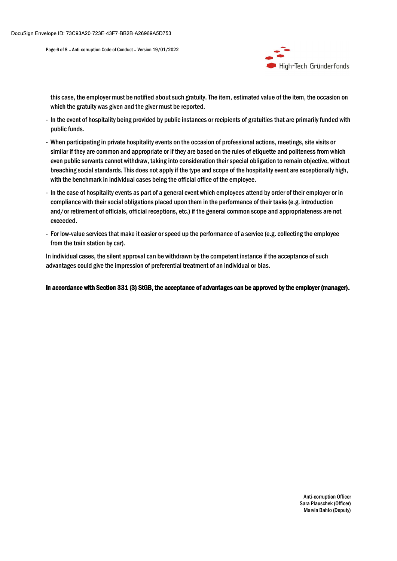

this case, the employer must be notified about such gratuity. The item, estimated value of the item, the occasion on pe 6 of 8 - Anti-comption Code of Conduct - Version 19/01/2022<br>
Which the gratuity was given and the giver must be reported.<br>
Thigh-Tech Gründerfonds<br>
this case, the employer must be notified about such gratuity. The item,

- public funds.
- In the event of hospitality being provided by public instances or recipients of the item, the occasion on which the gratuity was given and the giver must be reported.<br>
In the event of hospitality being provided by public - When participating in private bospitality events on the occasion of professional actions, meetings, site visits or<br>
- When participating in private bospitality events of experiments of gratuities that are primarily funde similar if they are common and appropriate or if they are based on the rules of etiquette and politeness from which even public servants cannot withdraw, taking into consideration their special obligation to remain objective, without breaching social standards. This does not apply if the type and scope of the hospitality event are exceptionally high, with the benchmark in individual cases being the official office of the employee. -<br>
Hoge 6x18 - Anti-camption Gods of Conduct - Version 19701/2022<br>
Mission Cases of A - Anti-camption Gods of Conduct - Version 19701/2022<br>
Mission Cases, the employer must be notified about such gratuity. The item, estima es e of 8 - Anti-commution Code of Conduct - Version 19/01/2022<br> **Altright - Thendon Finance in the filteral conduct such graduaty. The item, estimated value of the item, the occasion on<br>
Which the gratulty was given and t** - Figh-Tech Gründerfonds<br>this case, the employer must be notified about such gratuity. The item, estimated value of the item, the occasion on<br>which the gratuity was given and the giver must be reported.<br>Dublic instances or this case, the employer must be notified about such gratuity. The item, estimated value of the item, the occasion on<br>which the gratuity was given and the giver must be reported.<br>- In the event of hospitality being provided
- compliance with their social obligations placed upon them in the performance of their tasks (e.g. introduction exceeded.
- from the train station by car).

advantages could give the impression of preferential treatment of an individual or bias.

In accordance with Section 331 (3) StGB, the acceptance of advantages can be approved by the employer (manager).